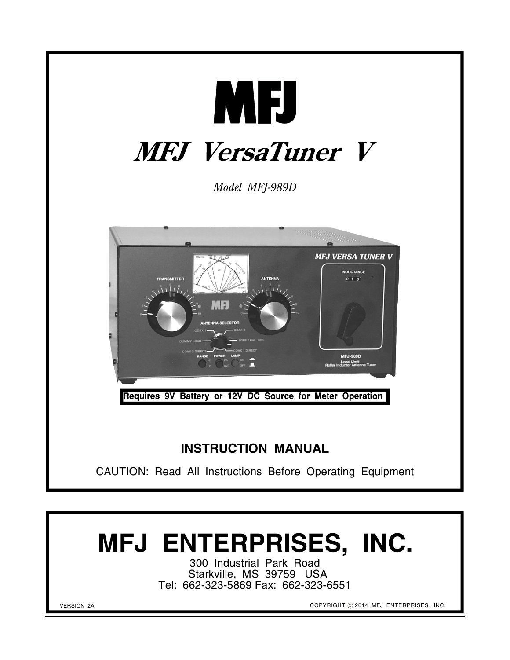

300 Industrial Park Road Starkville, MS 39759 USA Tel: 662-323-5869 Fax: 662-323-6551

VERSION 2A

COPYRIGHT © 2014 MFJ ENTERPRISES, INC.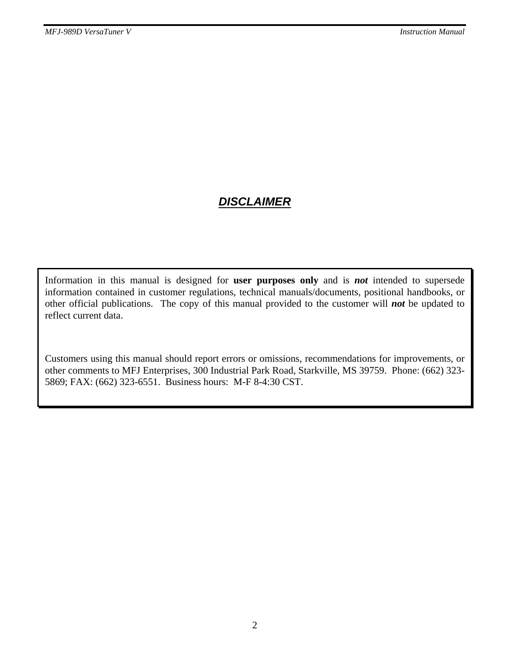## *DISCLAIMER*

Information in this manual is designed for **user purposes only** and is *not* intended to supersede information contained in customer regulations, technical manuals/documents, positional handbooks, or other official publications. The copy of this manual provided to the customer will *not* be updated to reflect current data.

Customers using this manual should report errors or omissions, recommendations for improvements, or other comments to MFJ Enterprises, 300 Industrial Park Road, Starkville, MS 39759. Phone: (662) 323- 5869; FAX: (662) 323-6551. Business hours: M-F 8-4:30 CST.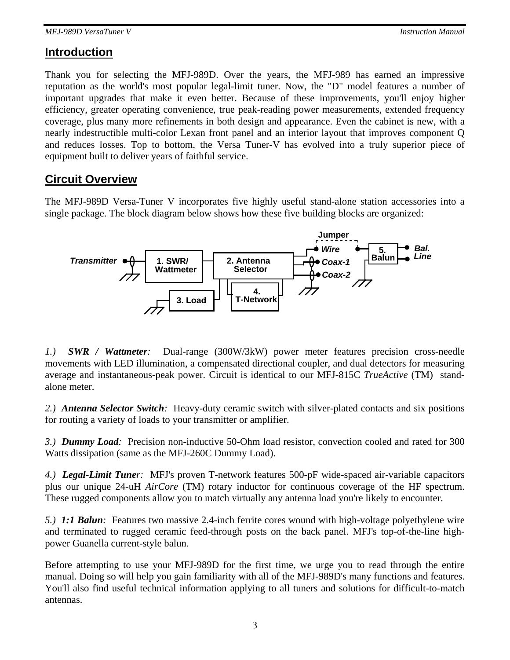### **Introduction**

Thank you for selecting the MFJ-989D. Over the years, the MFJ-989 has earned an impressive reputation as the world's most popular legal-limit tuner. Now, the "D" model features a number of important upgrades that make it even better. Because of these improvements, you'll enjoy higher efficiency, greater operating convenience, true peak-reading power measurements, extended frequency coverage, plus many more refinements in both design and appearance. Even the cabinet is new, with a nearly indestructible multi-color Lexan front panel and an interior layout that improves component Q and reduces losses. Top to bottom, the Versa Tuner-V has evolved into a truly superior piece of equipment built to deliver years of faithful service.

### **Circuit Overview**

The MFJ-989D Versa-Tuner V incorporates five highly useful stand-alone station accessories into a single package. The block diagram below shows how these five building blocks are organized:



*1.) SWR / Wattmeter:* Dual-range (300W/3kW) power meter features precision cross-needle movements with LED illumination, a compensated directional coupler, and dual detectors for measuring average and instantaneous-peak power. Circuit is identical to our MFJ-815C *TrueActive* (TM) standalone meter.

*2.) Antenna Selector Switch:* Heavy-duty ceramic switch with silver-plated contacts and six positions for routing a variety of loads to your transmitter or amplifier.

*3.) Dummy Load:* Precision non-inductive 50-Ohm load resistor, convection cooled and rated for 300 Watts dissipation (same as the MFJ-260C Dummy Load).

*4.) Legal-Limit Tuner:* MFJ's proven T-network features 500-pF wide-spaced air-variable capacitors plus our unique 24-uH *AirCore* (TM) rotary inductor for continuous coverage of the HF spectrum. These rugged components allow you to match virtually any antenna load you're likely to encounter.

*5.) 1:1 Balun:* Features two massive 2.4-inch ferrite cores wound with high-voltage polyethylene wire and terminated to rugged ceramic feed-through posts on the back panel. MFJ's top-of-the-line highpower Guanella current-style balun.

Before attempting to use your MFJ-989D for the first time, we urge you to read through the entire manual. Doing so will help you gain familiarity with all of the MFJ-989D's many functions and features. You'll also find useful technical information applying to all tuners and solutions for difficult-to-match antennas.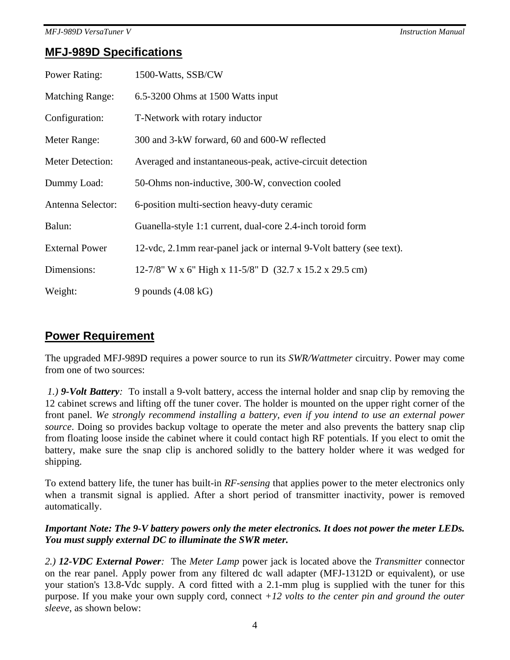### **MFJ-989D Specifications**

| Power Rating:           | 1500-Watts, SSB/CW                                                   |
|-------------------------|----------------------------------------------------------------------|
| <b>Matching Range:</b>  | 6.5-3200 Ohms at 1500 Watts input                                    |
| Configuration:          | T-Network with rotary inductor                                       |
| Meter Range:            | 300 and 3-kW forward, 60 and 600-W reflected                         |
| <b>Meter Detection:</b> | Averaged and instantaneous-peak, active-circuit detection            |
| Dummy Load:             | 50-Ohms non-inductive, 300-W, convection cooled                      |
| Antenna Selector:       | 6-position multi-section heavy-duty ceramic                          |
| Balun:                  | Guanella-style 1:1 current, dual-core 2.4-inch toroid form           |
| <b>External Power</b>   | 12-vdc, 2.1mm rear-panel jack or internal 9-Volt battery (see text). |
| Dimensions:             | 12-7/8" W x 6" High x 11-5/8" D (32.7 x 15.2 x 29.5 cm)              |
| Weight:                 | 9 pounds $(4.08 \text{ kG})$                                         |

## **Power Requirement**

The upgraded MFJ-989D requires a power source to run its *SWR/Wattmeter* circuitry. Power may come from one of two sources:

*1.) 9-Volt Battery:* To install a 9-volt battery, access the internal holder and snap clip by removing the 12 cabinet screws and lifting off the tuner cover. The holder is mounted on the upper right corner of the front panel. *We strongly recommend installing a battery, even if you intend to use an external power source*. Doing so provides backup voltage to operate the meter and also prevents the battery snap clip from floating loose inside the cabinet where it could contact high RF potentials. If you elect to omit the battery, make sure the snap clip is anchored solidly to the battery holder where it was wedged for shipping.

To extend battery life, the tuner has built-in *RF-sensing* that applies power to the meter electronics only when a transmit signal is applied. After a short period of transmitter inactivity, power is removed automatically.

### *Important Note: The 9-V battery powers only the meter electronics. It does not power the meter LEDs. You must supply external DC to illuminate the SWR meter.*

*2.) 12-VDC External Power:*The *Meter Lamp* power jack is located above the *Transmitter* connector on the rear panel. Apply power from any filtered dc wall adapter (MFJ-1312D or equivalent), or use your station's 13.8-Vdc supply. A cord fitted with a 2.1-mm plug is supplied with the tuner for this purpose. If you make your own supply cord, connect *+12 volts to the center pin and ground the outer sleeve*, as shown below: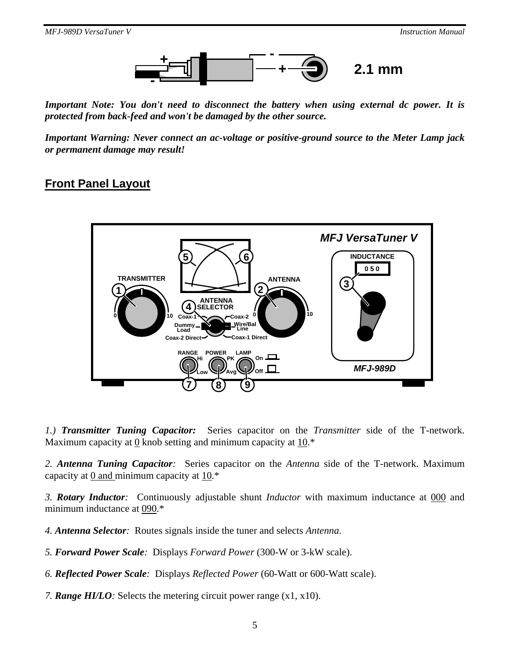

*Important Note: You don't need to disconnect the battery when using external dc power. It is protected from back-feed and won't be damaged by the other source.* 

*Important Warning: Never connect an ac-voltage or positive-ground source to the Meter Lamp jack or permanent damage may result!* 

### **Front Panel Layout**



*1.) Transmitter Tuning Capacitor:* Series capacitor on the *Transmitter* side of the T-network. Maximum capacity at 0 knob setting and minimum capacity at 10.\*

*2. Antenna Tuning Capacitor:* Series capacitor on the *Antenna* side of the T-network. Maximum capacity at  $\overline{0}$  and minimum capacity at  $\overline{10}$ .\*

*3. Rotary Inductor:* Continuously adjustable shunt *Inductor* with maximum inductance at 000 and minimum inductance at 090.\*

*4. Antenna Selector:*Routes signals inside the tuner and selects *Antenna*.

*5. Forward Power Scale:*Displays *Forward Power* (300-W or 3-kW scale).

*6. Reflected Power Scale:*Displays *Reflected Power* (60-Watt or 600-Watt scale).

*7. Range HI/LO:* Selects the metering circuit power range (x1, x10).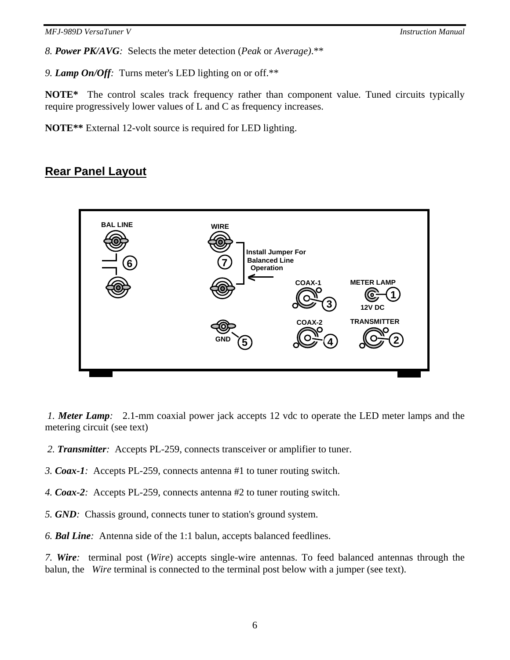*8. Power PK/AVG:* Selects the meter detection (*Peak* or *Average)*.\*\*

*9. Lamp On/Off:* Turns meter's LED lighting on or off.\*\*

**NOTE\*** The control scales track frequency rather than component value. Tuned circuits typically require progressively lower values of L and C as frequency increases.

**NOTE\*\*** External 12-volt source is required for LED lighting.

### **Rear Panel Layout**



 *1. Meter Lamp:* 2.1-mm coaxial power jack accepts 12 vdc to operate the LED meter lamps and the metering circuit (see text)

- *2. Transmitter:*Accepts PL-259, connects transceiver or amplifier to tuner.
- *3. Coax-1:*Accepts PL-259, connects antenna #1 to tuner routing switch.
- *4. Coax-2:*Accepts PL-259, connects antenna #2 to tuner routing switch.
- *5. GND:*Chassis ground, connects tuner to station's ground system.

*6. Bal Line:*Antenna side of the 1:1 balun, accepts balanced feedlines.

*7. Wire:*terminal post (*Wire*) accepts single-wire antennas. To feed balanced antennas through the balun, the *Wire* terminal is connected to the terminal post below with a jumper (see text).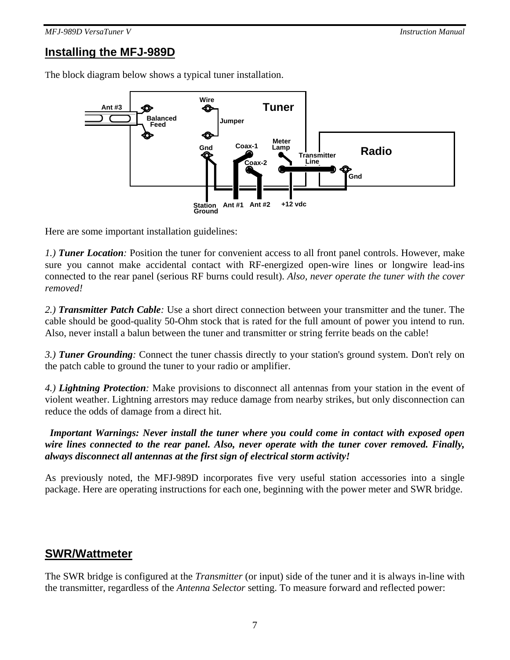## **Installing the MFJ-989D**

The block diagram below shows a typical tuner installation.



Here are some important installation guidelines:

*1.) Tuner Location:* Position the tuner for convenient access to all front panel controls. However, make sure you cannot make accidental contact with RF-energized open-wire lines or longwire lead-ins connected to the rear panel (serious RF burns could result). *Also, never operate the tuner with the cover removed!*

*2.) Transmitter Patch Cable:* Use a short direct connection between your transmitter and the tuner. The cable should be good-quality 50-Ohm stock that is rated for the full amount of power you intend to run. Also, never install a balun between the tuner and transmitter or string ferrite beads on the cable!

*3.) Tuner Grounding:* Connect the tuner chassis directly to your station's ground system. Don't rely on the patch cable to ground the tuner to your radio or amplifier.

*4.) Lightning Protection:* Make provisions to disconnect all antennas from your station in the event of violent weather. Lightning arrestors may reduce damage from nearby strikes, but only disconnection can reduce the odds of damage from a direct hit.

 *Important Warnings: Never install the tuner where you could come in contact with exposed open wire lines connected to the rear panel. Also, never operate with the tuner cover removed. Finally, always disconnect all antennas at the first sign of electrical storm activity!* 

As previously noted, the MFJ-989D incorporates five very useful station accessories into a single package. Here are operating instructions for each one, beginning with the power meter and SWR bridge.

### **SWR/Wattmeter**

The SWR bridge is configured at the *Transmitter* (or input) side of the tuner and it is always in-line with the transmitter, regardless of the *Antenna Selector* setting. To measure forward and reflected power: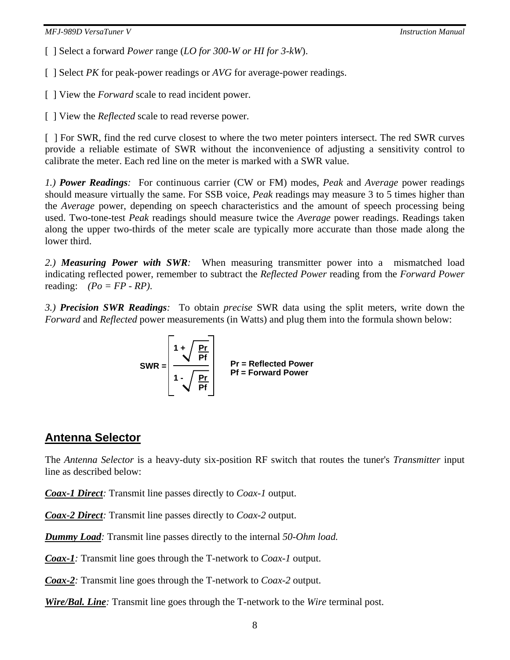[ ] Select a forward *Power* range (*LO for 300-W or HI for 3-kW*).

[ ] Select *PK* for peak-power readings or *AVG* for average-power readings.

[ ] View the *Forward* scale to read incident power.

[ ] View the *Reflected* scale to read reverse power.

[ ] For SWR, find the red curve closest to where the two meter pointers intersect. The red SWR curves provide a reliable estimate of SWR without the inconvenience of adjusting a sensitivity control to calibrate the meter. Each red line on the meter is marked with a SWR value.

*1.) Power Readings:* For continuous carrier (CW or FM) modes, *Peak* and *Average* power readings should measure virtually the same. For SSB voice, *Peak* readings may measure 3 to 5 times higher than the *Average* power, depending on speech characteristics and the amount of speech processing being used. Two-tone-test *Peak* readings should measure twice the *Average* power readings. Readings taken along the upper two-thirds of the meter scale are typically more accurate than those made along the lower third.

*2.) Measuring Power with SWR:* When measuring transmitter power into a mismatched load indicating reflected power, remember to subtract the *Reflected Power* reading from the *Forward Power* reading: *(Po = FP - RP)*.

*3.) Precision SWR Readings:* To obtain *precise* SWR data using the split meters, write down the *Forward* and *Reflected* power measurements (in Watts) and plug them into the formula shown below:

$$
SWR = \begin{bmatrix} 1 + \sqrt{\frac{Pr}{Pf}} \\ \frac{1 - \sqrt{\frac{Pr}{Pf}}}{Pf} \end{bmatrix}
$$
  $Pr = Reflected Power$ 

## **Antenna Selector**

The *Antenna Selector* is a heavy-duty six-position RF switch that routes the tuner's *Transmitter* input line as described below:

*Coax-1 Direct:* Transmit line passes directly to *Coax-1* output.

*Coax-2 Direct:* Transmit line passes directly to *Coax-2* output.

*Dummy Load:* Transmit line passes directly to the internal *50-Ohm load.*

*Coax-1:* Transmit line goes through the T-network to *Coax-1* output.

*Coax-2:* Transmit line goes through the T-network to *Coax-2* output.

*Wire/Bal. Line:* Transmit line goes through the T-network to the *Wire* terminal post.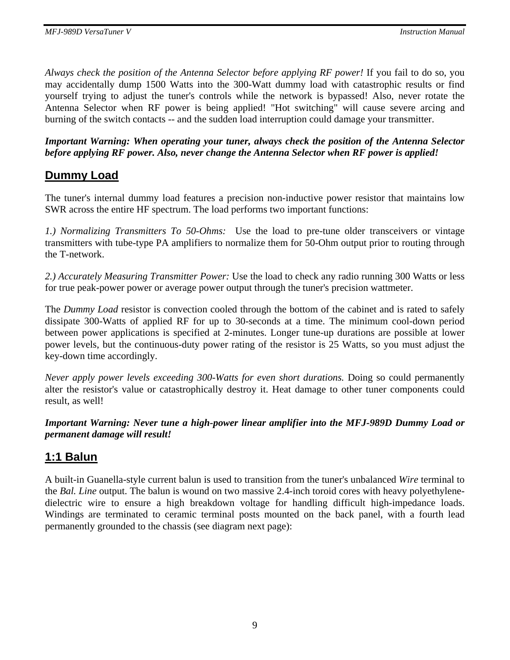*Always check the position of the Antenna Selector before applying RF power!* If you fail to do so, you may accidentally dump 1500 Watts into the 300-Watt dummy load with catastrophic results or find yourself trying to adjust the tuner's controls while the network is bypassed! Also, never rotate the Antenna Selector when RF power is being applied! "Hot switching" will cause severe arcing and burning of the switch contacts -- and the sudden load interruption could damage your transmitter.

*Important Warning: When operating your tuner, always check the position of the Antenna Selector before applying RF power. Also, never change the Antenna Selector when RF power is applied!* 

## **Dummy Load**

The tuner's internal dummy load features a precision non-inductive power resistor that maintains low SWR across the entire HF spectrum. The load performs two important functions:

*1.) Normalizing Transmitters To 50-Ohms:* Use the load to pre-tune older transceivers or vintage transmitters with tube-type PA amplifiers to normalize them for 50-Ohm output prior to routing through the T-network.

*2.) Accurately Measuring Transmitter Power:* Use the load to check any radio running 300 Watts or less for true peak-power power or average power output through the tuner's precision wattmeter.

The *Dummy Load* resistor is convection cooled through the bottom of the cabinet and is rated to safely dissipate 300-Watts of applied RF for up to 30-seconds at a time. The minimum cool-down period between power applications is specified at 2-minutes. Longer tune-up durations are possible at lower power levels, but the continuous-duty power rating of the resistor is 25 Watts, so you must adjust the key-down time accordingly.

*Never apply power levels exceeding 300-Watts for even short durations.* Doing so could permanently alter the resistor's value or catastrophically destroy it. Heat damage to other tuner components could result, as well!

*Important Warning: Never tune a high-power linear amplifier into the MFJ-989D Dummy Load or permanent damage will result!*

## **1:1 Balun**

A built-in Guanella-style current balun is used to transition from the tuner's unbalanced *Wire* terminal to the *Bal. Line* output. The balun is wound on two massive 2.4-inch toroid cores with heavy polyethylenedielectric wire to ensure a high breakdown voltage for handling difficult high-impedance loads. Windings are terminated to ceramic terminal posts mounted on the back panel, with a fourth lead permanently grounded to the chassis (see diagram next page):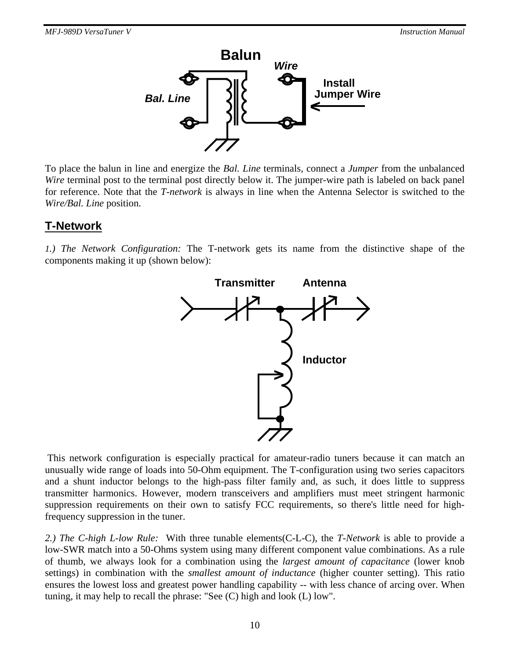

To place the balun in line and energize the *Bal. Line* terminals, connect a *Jumper* from the unbalanced *Wire* terminal post to the terminal post directly below it. The jumper-wire path is labeled on back panel for reference. Note that the *T-network* is always in line when the Antenna Selector is switched to the *Wire/Bal. Line* position.

### **T-Network**

*1.) The Network Configuration:* The T-network gets its name from the distinctive shape of the components making it up (shown below):



 This network configuration is especially practical for amateur-radio tuners because it can match an unusually wide range of loads into 50-Ohm equipment. The T-configuration using two series capacitors and a shunt inductor belongs to the high-pass filter family and, as such, it does little to suppress transmitter harmonics. However, modern transceivers and amplifiers must meet stringent harmonic suppression requirements on their own to satisfy FCC requirements, so there's little need for highfrequency suppression in the tuner.

*2.) The C-high L-low Rule:* With three tunable elements(C-L-C), the *T-Network* is able to provide a low-SWR match into a 50-Ohms system using many different component value combinations. As a rule of thumb, we always look for a combination using the *largest amount of capacitance* (lower knob settings) in combination with the *smallest amount of inductance* (higher counter setting). This ratio ensures the lowest loss and greatest power handling capability -- with less chance of arcing over. When tuning, it may help to recall the phrase: "See (C) high and look (L) low".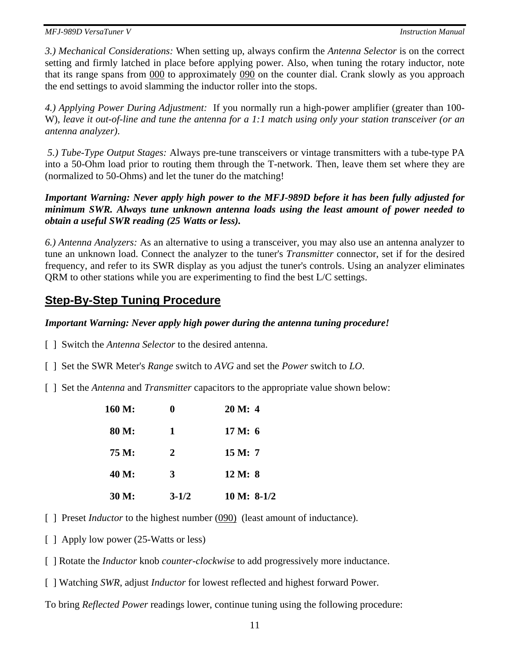*3.) Mechanical Considerations:* When setting up, always confirm the *Antenna Selector* is on the correct setting and firmly latched in place before applying power. Also, when tuning the rotary inductor, note that its range spans from 000 to approximately 090 on the counter dial. Crank slowly as you approach the end settings to avoid slamming the inductor roller into the stops.

*4.) Applying Power During Adjustment:* If you normally run a high-power amplifier (greater than 100- W), *leave it out-of-line and tune the antenna for a 1:1 match using only your station transceiver (or an antenna analyzer)*.

*5.) Tube-Type Output Stages:* Always pre-tune transceivers or vintage transmitters with a tube-type PA into a 50-Ohm load prior to routing them through the T-network. Then, leave them set where they are (normalized to 50-Ohms) and let the tuner do the matching!

*Important Warning: Never apply high power to the MFJ-989D before it has been fully adjusted for minimum SWR. Always tune unknown antenna loads using the least amount of power needed to obtain a useful SWR reading (25 Watts or less).* 

*6.) Antenna Analyzers:* As an alternative to using a transceiver, you may also use an antenna analyzer to tune an unknown load. Connect the analyzer to the tuner's *Transmitter* connector, set if for the desired frequency, and refer to its SWR display as you adjust the tuner's controls. Using an analyzer eliminates QRM to other stations while you are experimenting to find the best L/C settings.

## **Step-By-Step Tuning Procedure**

#### *Important Warning: Never apply high power during the antenna tuning procedure!*

[ ] Switch the *Antenna Selector* to the desired antenna.

- [ ] Set the SWR Meter's *Range* switch to *AVG* and set the *Power* switch to *LO*.
- [ ] Set the *Antenna* and *Transmitter* capacitors to the appropriate value shown below:

| 160 M: | 0         | 20 M: 4       |
|--------|-----------|---------------|
| 80 M:  | 1         | 17 M: 6       |
| 75 M:  | 2         | 15 M: 7       |
| 40 M:  | 3         | 12 M: 8       |
| 30 M:  | $3 - 1/2$ | $10 M: 8-1/2$ |

- [ ] Preset *Inductor* to the highest number (090) (least amount of inductance).
- [ ] Apply low power (25-Watts or less)
- [ ] Rotate the *Inductor* knob *counter-clockwise* to add progressively more inductance.
- [ ] Watching *SWR*, adjust *Inductor* for lowest reflected and highest forward Power.

To bring *Reflected Power* readings lower, continue tuning using the following procedure: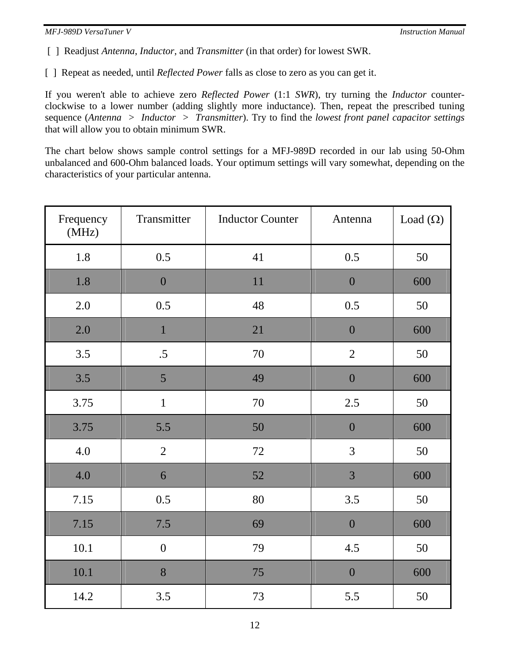[ ] Readjust *Antenna*, *Inductor*, and *Transmitter* (in that order) for lowest SWR.

[ ] Repeat as needed, until *Reflected Power* falls as close to zero as you can get it.

If you weren't able to achieve zero *Reflected Power* (1:1 *SWR*), try turning the *Inductor* counterclockwise to a lower number (adding slightly more inductance). Then, repeat the prescribed tuning sequence (*Antenna > Inductor > Transmitter*). Try to find the *lowest front panel capacitor settings*  that will allow you to obtain minimum SWR.

The chart below shows sample control settings for a MFJ-989D recorded in our lab using 50-Ohm unbalanced and 600-Ohm balanced loads. Your optimum settings will vary somewhat, depending on the characteristics of your particular antenna.

| Frequency<br>(MHz) | Transmitter      | <b>Inductor Counter</b> | Antenna          | Load $(\Omega)$ |
|--------------------|------------------|-------------------------|------------------|-----------------|
| 1.8                | 0.5              | 41                      | 0.5              | 50              |
| 1.8                | $\boldsymbol{0}$ | 11                      | $\boldsymbol{0}$ | 600             |
| 2.0                | 0.5              | 48                      | 0.5              | 50              |
| $2.0\,$            | $\mathbf{1}$     | 21                      | $\boldsymbol{0}$ | 600             |
| 3.5                | $.5\,$           | $70\,$                  | $\sqrt{2}$       | 50              |
| 3.5                | $\overline{5}$   | 49                      | $\boldsymbol{0}$ | 600             |
| 3.75               | $\overline{1}$   | 70                      | 2.5              | 50              |
| 3.75               | 5.5              | 50                      | $\boldsymbol{0}$ | 600             |
| $4.0\,$            | $\sqrt{2}$       | $72\,$                  | 3                | 50              |
| 4.0                | 6                | 52                      | 3                | 600             |
| 7.15               | 0.5              | 80                      | 3.5              | 50              |
| 7.15               | 7.5              | 69                      | $\overline{0}$   | 600             |
| 10.1               | $\overline{0}$   | 79                      | 4.5              | 50              |
| 10.1               | 8                | 75                      | $\boldsymbol{0}$ | 600             |
| 14.2               | 3.5              | 73                      | 5.5              | 50              |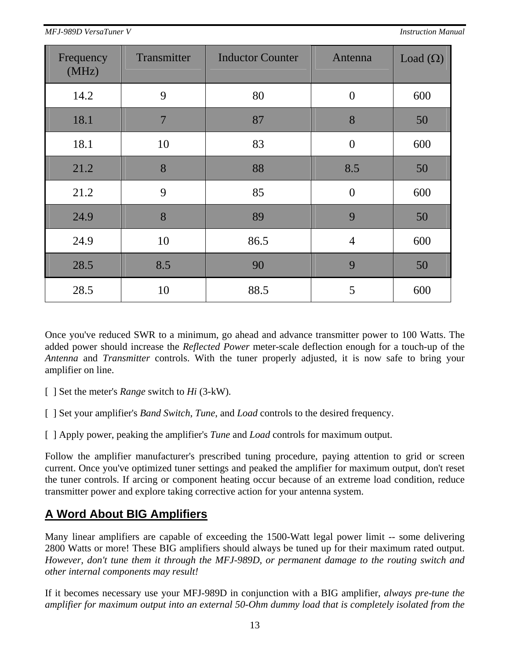| Frequency<br>(MHz) | Transmitter | <b>Inductor Counter</b> | Antenna        | Load $(\Omega)$ |
|--------------------|-------------|-------------------------|----------------|-----------------|
| 14.2               | 9           | 80                      | $\overline{0}$ | 600             |
| 18.1               | 7           | 87                      | 8              | 50              |
| 18.1               | 10          | 83                      | $\overline{0}$ | 600             |
| 21.2               | 8           | 88                      | 8.5            | 50              |
| 21.2               | 9           | 85                      | $\overline{0}$ | 600             |
| 24.9               | 8           | 89                      | 9              | 50              |
| 24.9               | 10          | 86.5                    | $\overline{4}$ | 600             |
| 28.5               | 8.5         | 90                      | 9              | 50              |
| 28.5               | 10          | 88.5                    | 5              | 600             |

Once you've reduced SWR to a minimum, go ahead and advance transmitter power to 100 Watts. The added power should increase the *Reflected Power* meter-scale deflection enough for a touch-up of the *Antenna* and *Transmitter* controls. With the tuner properly adjusted, it is now safe to bring your amplifier on line.

- [ ] Set the meter's *Range* switch to *Hi* (3-kW)*.*
- [ ] Set your amplifier's *Band Switch*, *Tune*, and *Load* controls to the desired frequency.
- [ ] Apply power, peaking the amplifier's *Tune* and *Load* controls for maximum output.

Follow the amplifier manufacturer's prescribed tuning procedure, paying attention to grid or screen current. Once you've optimized tuner settings and peaked the amplifier for maximum output, don't reset the tuner controls. If arcing or component heating occur because of an extreme load condition, reduce transmitter power and explore taking corrective action for your antenna system.

## **A Word About BIG Amplifiers**

Many linear amplifiers are capable of exceeding the 1500-Watt legal power limit -- some delivering 2800 Watts or more! These BIG amplifiers should always be tuned up for their maximum rated output. *However, don't tune them it through the MFJ-989D, or permanent damage to the routing switch and other internal components may result!* 

If it becomes necessary use your MFJ-989D in conjunction with a BIG amplifier, *always pre-tune the amplifier for maximum output into an external 50-Ohm dummy load that is completely isolated from the*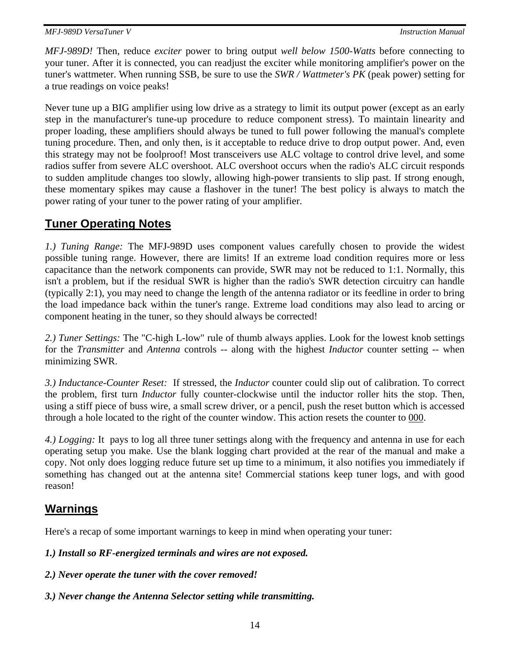*MFJ-989D!* Then, reduce *exciter* power to bring output *well below 1500-Watts* before connecting to your tuner. After it is connected, you can readjust the exciter while monitoring amplifier's power on the tuner's wattmeter. When running SSB, be sure to use the *SWR / Wattmeter's PK* (peak power) setting for a true readings on voice peaks!

Never tune up a BIG amplifier using low drive as a strategy to limit its output power (except as an early step in the manufacturer's tune-up procedure to reduce component stress). To maintain linearity and proper loading, these amplifiers should always be tuned to full power following the manual's complete tuning procedure. Then, and only then, is it acceptable to reduce drive to drop output power. And, even this strategy may not be foolproof! Most transceivers use ALC voltage to control drive level, and some radios suffer from severe ALC overshoot. ALC overshoot occurs when the radio's ALC circuit responds to sudden amplitude changes too slowly, allowing high-power transients to slip past. If strong enough, these momentary spikes may cause a flashover in the tuner! The best policy is always to match the power rating of your tuner to the power rating of your amplifier.

## **Tuner Operating Notes**

*1.) Tuning Range:* The MFJ-989D uses component values carefully chosen to provide the widest possible tuning range. However, there are limits! If an extreme load condition requires more or less capacitance than the network components can provide, SWR may not be reduced to 1:1. Normally, this isn't a problem, but if the residual SWR is higher than the radio's SWR detection circuitry can handle (typically 2:1), you may need to change the length of the antenna radiator or its feedline in order to bring the load impedance back within the tuner's range. Extreme load conditions may also lead to arcing or component heating in the tuner, so they should always be corrected!

*2.) Tuner Settings:* The "C-high L-low" rule of thumb always applies. Look for the lowest knob settings for the *Transmitter* and *Antenna* controls -- along with the highest *Inductor* counter setting -- when minimizing SWR.

*3.) Inductance-Counter Reset:* If stressed, the *Inductor* counter could slip out of calibration. To correct the problem, first turn *Inductor* fully counter-clockwise until the inductor roller hits the stop. Then, using a stiff piece of buss wire, a small screw driver, or a pencil, push the reset button which is accessed through a hole located to the right of the counter window. This action resets the counter to 000.

*4.) Logging:* It pays to log all three tuner settings along with the frequency and antenna in use for each operating setup you make. Use the blank logging chart provided at the rear of the manual and make a copy. Not only does logging reduce future set up time to a minimum, it also notifies you immediately if something has changed out at the antenna site! Commercial stations keep tuner logs, and with good reason!

## **Warnings**

Here's a recap of some important warnings to keep in mind when operating your tuner:

*1.) Install so RF-energized terminals and wires are not exposed.* 

- *2.) Never operate the tuner with the cover removed!*
- *3.) Never change the Antenna Selector setting while transmitting.*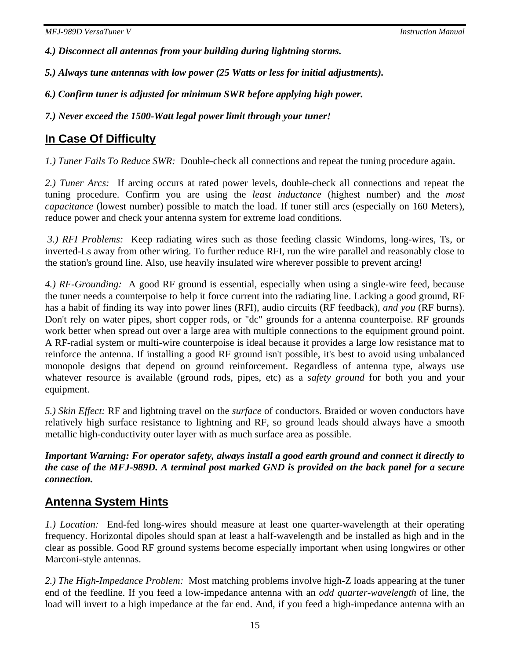*4.) Disconnect all antennas from your building during lightning storms.* 

*5.) Always tune antennas with low power (25 Watts or less for initial adjustments).* 

*6.) Confirm tuner is adjusted for minimum SWR before applying high power.* 

*7.) Never exceed the 1500-Watt legal power limit through your tuner!* 

## **In Case Of Difficulty**

*1.) Tuner Fails To Reduce SWR:* Double-check all connections and repeat the tuning procedure again.

*2.) Tuner Arcs:* If arcing occurs at rated power levels, double-check all connections and repeat the tuning procedure. Confirm you are using the *least inductance* (highest number) and the *most capacitance* (lowest number) possible to match the load. If tuner still arcs (especially on 160 Meters), reduce power and check your antenna system for extreme load conditions.

*3.) RFI Problems:* Keep radiating wires such as those feeding classic Windoms, long-wires, Ts, or inverted-Ls away from other wiring. To further reduce RFI, run the wire parallel and reasonably close to the station's ground line. Also, use heavily insulated wire wherever possible to prevent arcing!

*4.) RF-Grounding:* A good RF ground is essential, especially when using a single-wire feed, because the tuner needs a counterpoise to help it force current into the radiating line. Lacking a good ground, RF has a habit of finding its way into power lines (RFI), audio circuits (RF feedback), *and you* (RF burns). Don't rely on water pipes, short copper rods, or "dc" grounds for a antenna counterpoise. RF grounds work better when spread out over a large area with multiple connections to the equipment ground point. A RF-radial system or multi-wire counterpoise is ideal because it provides a large low resistance mat to reinforce the antenna. If installing a good RF ground isn't possible, it's best to avoid using unbalanced monopole designs that depend on ground reinforcement. Regardless of antenna type, always use whatever resource is available (ground rods, pipes, etc) as a *safety ground* for both you and your equipment.

*5.) Skin Effect:* RF and lightning travel on the *surface* of conductors. Braided or woven conductors have relatively high surface resistance to lightning and RF, so ground leads should always have a smooth metallic high-conductivity outer layer with as much surface area as possible.

*Important Warning: For operator safety, always install a good earth ground and connect it directly to the case of the MFJ-989D. A terminal post marked GND is provided on the back panel for a secure connection.* 

## **Antenna System Hints**

*1.) Location:* End-fed long-wires should measure at least one quarter-wavelength at their operating frequency. Horizontal dipoles should span at least a half-wavelength and be installed as high and in the clear as possible. Good RF ground systems become especially important when using longwires or other Marconi-style antennas.

*2.) The High-Impedance Problem:* Most matching problems involve high-Z loads appearing at the tuner end of the feedline. If you feed a low-impedance antenna with an *odd quarter-wavelength* of line, the load will invert to a high impedance at the far end. And, if you feed a high-impedance antenna with an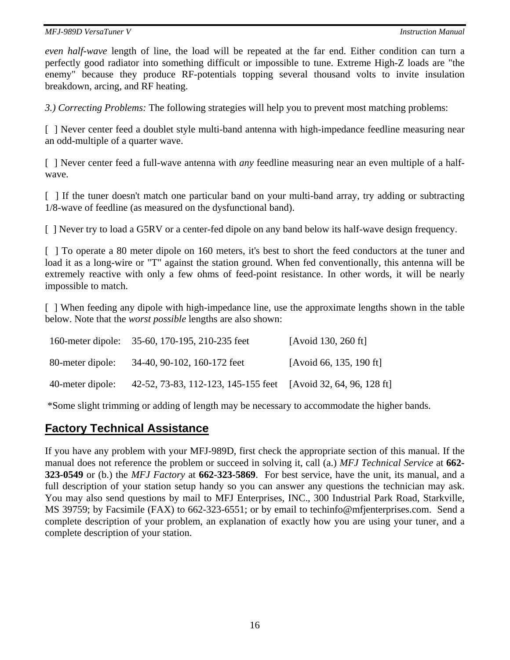*even half-wave* length of line, the load will be repeated at the far end. Either condition can turn a perfectly good radiator into something difficult or impossible to tune. Extreme High-Z loads are "the enemy" because they produce RF-potentials topping several thousand volts to invite insulation breakdown, arcing, and RF heating.

*3.) Correcting Problems:* The following strategies will help you to prevent most matching problems:

[ ] Never center feed a doublet style multi-band antenna with high-impedance feedline measuring near an odd-multiple of a quarter wave.

[ ] Never center feed a full-wave antenna with *any* feedline measuring near an even multiple of a halfwave.

[  $\parallel$  ] If the tuner doesn't match one particular band on your multi-band array, try adding or subtracting 1/8-wave of feedline (as measured on the dysfunctional band).

[ ] Never try to load a G5RV or a center-fed dipole on any band below its half-wave design frequency.

[ ] To operate a 80 meter dipole on 160 meters, it's best to short the feed conductors at the tuner and load it as a long-wire or "T" against the station ground. When fed conventionally, this antenna will be extremely reactive with only a few ohms of feed-point resistance. In other words, it will be nearly impossible to match.

[ ] When feeding any dipole with high-impedance line, use the approximate lengths shown in the table below. Note that the *worst possible* lengths are also shown:

|                  | 160-meter dipole: 35-60, 170-195, 210-235 feet                 | [Avoid 130, 260 ft]     |
|------------------|----------------------------------------------------------------|-------------------------|
| 80-meter dipole: | 34-40, 90-102, 160-172 feet                                    | [Avoid 66, 135, 190 ft] |
| 40-meter dipole: | 42-52, 73-83, 112-123, 145-155 feet [Avoid 32, 64, 96, 128 ft] |                         |

\*Some slight trimming or adding of length may be necessary to accommodate the higher bands.

### **Factory Technical Assistance**

If you have any problem with your MFJ-989D, first check the appropriate section of this manual. If the manual does not reference the problem or succeed in solving it, call (a.) *MFJ Technical Service* at **662- 323-0549** or (b.) the *MFJ Factory* at **662-323-5869**. For best service, have the unit, its manual, and a full description of your station setup handy so you can answer any questions the technician may ask. You may also send questions by mail to MFJ Enterprises, INC., 300 Industrial Park Road, Starkville, MS 39759; by Facsimile (FAX) to 662-323-6551; or by email to techinfo@mfjenterprises.com. Send a complete description of your problem, an explanation of exactly how you are using your tuner, and a complete description of your station.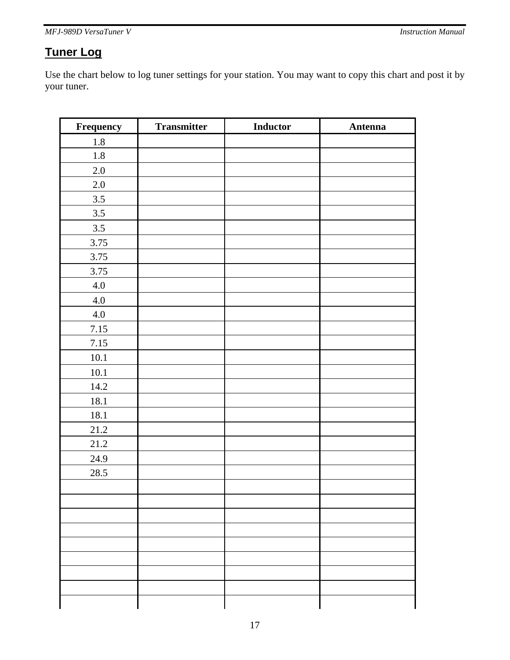# **Tuner Log**

Use the chart below to log tuner settings for your station. You may want to copy this chart and post it by your tuner.

| Frequency | <b>Transmitter</b> | <b>Inductor</b> | Antenna |
|-----------|--------------------|-----------------|---------|
| $1.8\,$   |                    |                 |         |
| $1.8\,$   |                    |                 |         |
| $2.0\,$   |                    |                 |         |
| $2.0\,$   |                    |                 |         |
| $3.5$     |                    |                 |         |
| $3.5\,$   |                    |                 |         |
| 3.5       |                    |                 |         |
| 3.75      |                    |                 |         |
| 3.75      |                    |                 |         |
| 3.75      |                    |                 |         |
| $4.0\,$   |                    |                 |         |
| $4.0\,$   |                    |                 |         |
| $4.0\,$   |                    |                 |         |
| 7.15      |                    |                 |         |
| 7.15      |                    |                 |         |
| $10.1\,$  |                    |                 |         |
| 10.1      |                    |                 |         |
| 14.2      |                    |                 |         |
| 18.1      |                    |                 |         |
| $18.1\,$  |                    |                 |         |
| 21.2      |                    |                 |         |
| 21.2      |                    |                 |         |
| 24.9      |                    |                 |         |
| 28.5      |                    |                 |         |
|           |                    |                 |         |
|           |                    |                 |         |
|           |                    |                 |         |
|           |                    |                 |         |
|           |                    |                 |         |
|           |                    |                 |         |
|           |                    |                 |         |
|           |                    |                 |         |
|           |                    |                 |         |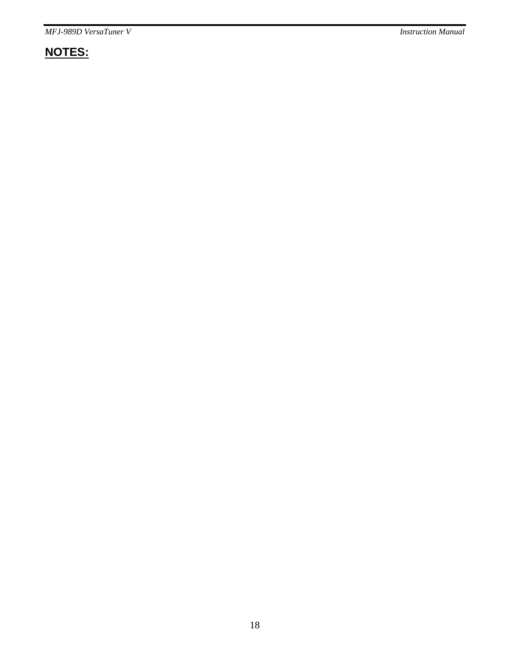# **NOTES:**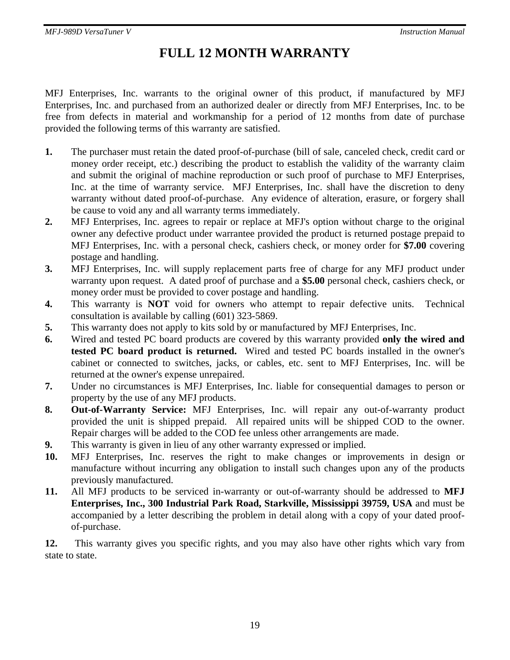# **FULL 12 MONTH WARRANTY**

MFJ Enterprises, Inc. warrants to the original owner of this product, if manufactured by MFJ Enterprises, Inc. and purchased from an authorized dealer or directly from MFJ Enterprises, Inc. to be free from defects in material and workmanship for a period of 12 months from date of purchase provided the following terms of this warranty are satisfied.

- **1.** The purchaser must retain the dated proof-of-purchase (bill of sale, canceled check, credit card or money order receipt, etc.) describing the product to establish the validity of the warranty claim and submit the original of machine reproduction or such proof of purchase to MFJ Enterprises, Inc. at the time of warranty service. MFJ Enterprises, Inc. shall have the discretion to deny warranty without dated proof-of-purchase. Any evidence of alteration, erasure, or forgery shall be cause to void any and all warranty terms immediately.
- **2.** MFJ Enterprises, Inc. agrees to repair or replace at MFJ's option without charge to the original owner any defective product under warrantee provided the product is returned postage prepaid to MFJ Enterprises, Inc. with a personal check, cashiers check, or money order for **\$7.00** covering postage and handling.
- **3.** MFJ Enterprises, Inc. will supply replacement parts free of charge for any MFJ product under warranty upon request. A dated proof of purchase and a **\$5.00** personal check, cashiers check, or money order must be provided to cover postage and handling.
- **4.** This warranty is **NOT** void for owners who attempt to repair defective units. Technical consultation is available by calling (601) 323-5869.
- **5.** This warranty does not apply to kits sold by or manufactured by MFJ Enterprises, Inc.
- **6.** Wired and tested PC board products are covered by this warranty provided **only the wired and tested PC board product is returned.** Wired and tested PC boards installed in the owner's cabinet or connected to switches, jacks, or cables, etc. sent to MFJ Enterprises, Inc. will be returned at the owner's expense unrepaired.
- **7.** Under no circumstances is MFJ Enterprises, Inc. liable for consequential damages to person or property by the use of any MFJ products.
- **8. Out-of-Warranty Service:** MFJ Enterprises, Inc. will repair any out-of-warranty product provided the unit is shipped prepaid. All repaired units will be shipped COD to the owner. Repair charges will be added to the COD fee unless other arrangements are made.
- **9.** This warranty is given in lieu of any other warranty expressed or implied.
- **10.** MFJ Enterprises, Inc. reserves the right to make changes or improvements in design or manufacture without incurring any obligation to install such changes upon any of the products previously manufactured.
- **11.** All MFJ products to be serviced in-warranty or out-of-warranty should be addressed to **MFJ Enterprises, Inc., 300 Industrial Park Road, Starkville, Mississippi 39759, USA** and must be accompanied by a letter describing the problem in detail along with a copy of your dated proofof-purchase.

**12.** This warranty gives you specific rights, and you may also have other rights which vary from state to state.